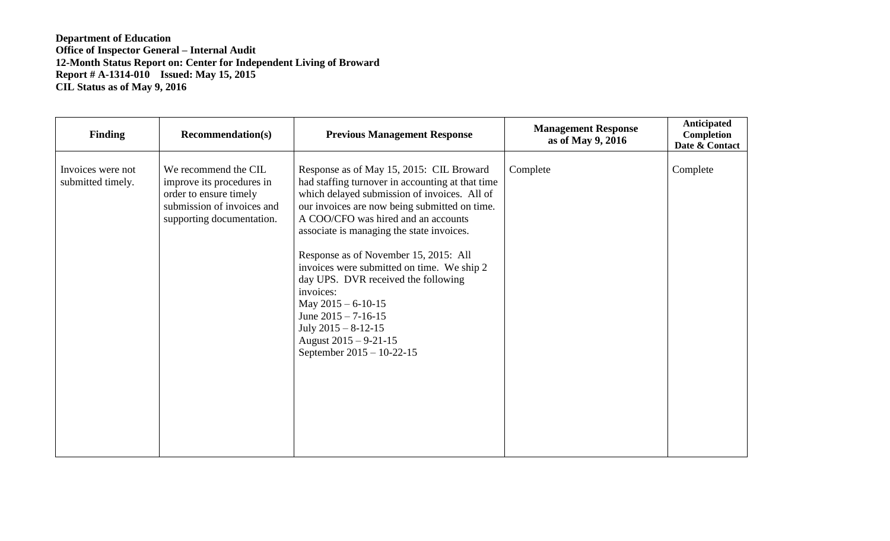| <b>Finding</b>                         | <b>Recommendation(s)</b>                                                                                                               | <b>Previous Management Response</b>                                                                                                                                                                                                                                                                                                                                                                                                                                                                                                                                      | <b>Management Response</b><br>as of May 9, 2016 | Anticipated<br>Completion<br>Date & Contact |
|----------------------------------------|----------------------------------------------------------------------------------------------------------------------------------------|--------------------------------------------------------------------------------------------------------------------------------------------------------------------------------------------------------------------------------------------------------------------------------------------------------------------------------------------------------------------------------------------------------------------------------------------------------------------------------------------------------------------------------------------------------------------------|-------------------------------------------------|---------------------------------------------|
| Invoices were not<br>submitted timely. | We recommend the CIL<br>improve its procedures in<br>order to ensure timely<br>submission of invoices and<br>supporting documentation. | Response as of May 15, 2015: CIL Broward<br>had staffing turnover in accounting at that time<br>which delayed submission of invoices. All of<br>our invoices are now being submitted on time.<br>A COO/CFO was hired and an accounts<br>associate is managing the state invoices.<br>Response as of November 15, 2015: All<br>invoices were submitted on time. We ship 2<br>day UPS. DVR received the following<br>invoices:<br>May $2015 - 6 - 10 - 15$<br>June $2015 - 7 - 16 - 15$<br>July $2015 - 8 - 12 - 15$<br>August 2015 - 9-21-15<br>September 2015 - 10-22-15 | Complete                                        | Complete                                    |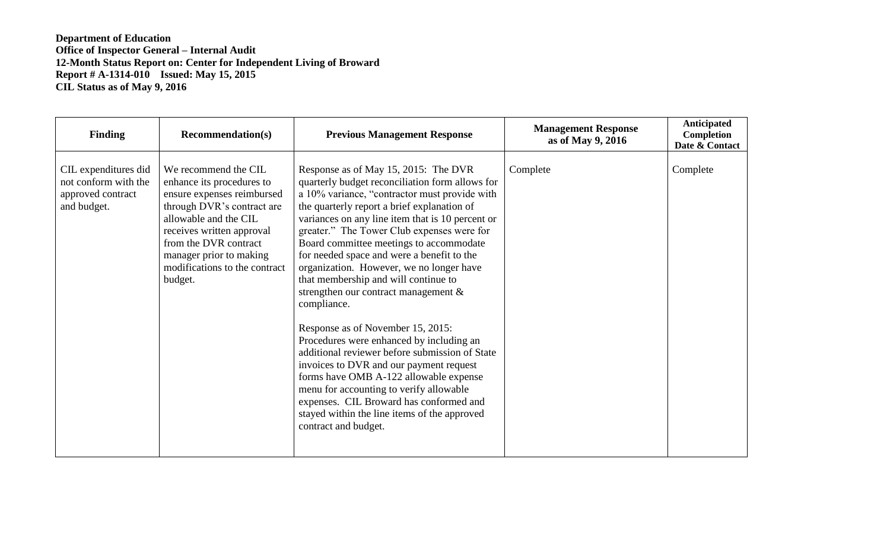| <b>Finding</b>                                                                   | <b>Recommendation(s)</b>                                                                                                                                                                                                                                            | <b>Previous Management Response</b>                                                                                                                                                                                                                                                                                                                                                                                                                                                                                                                                                                                                                                                                                                                                                                                                                                                                                    | <b>Management Response</b><br>as of May 9, 2016 | <b>Anticipated</b><br>Completion<br>Date & Contact |
|----------------------------------------------------------------------------------|---------------------------------------------------------------------------------------------------------------------------------------------------------------------------------------------------------------------------------------------------------------------|------------------------------------------------------------------------------------------------------------------------------------------------------------------------------------------------------------------------------------------------------------------------------------------------------------------------------------------------------------------------------------------------------------------------------------------------------------------------------------------------------------------------------------------------------------------------------------------------------------------------------------------------------------------------------------------------------------------------------------------------------------------------------------------------------------------------------------------------------------------------------------------------------------------------|-------------------------------------------------|----------------------------------------------------|
| CIL expenditures did<br>not conform with the<br>approved contract<br>and budget. | We recommend the CIL<br>enhance its procedures to<br>ensure expenses reimbursed<br>through DVR's contract are<br>allowable and the CIL<br>receives written approval<br>from the DVR contract<br>manager prior to making<br>modifications to the contract<br>budget. | Response as of May 15, 2015: The DVR<br>quarterly budget reconciliation form allows for<br>a 10% variance, "contractor must provide with<br>the quarterly report a brief explanation of<br>variances on any line item that is 10 percent or<br>greater." The Tower Club expenses were for<br>Board committee meetings to accommodate<br>for needed space and were a benefit to the<br>organization. However, we no longer have<br>that membership and will continue to<br>strengthen our contract management $\&$<br>compliance.<br>Response as of November 15, 2015:<br>Procedures were enhanced by including an<br>additional reviewer before submission of State<br>invoices to DVR and our payment request<br>forms have OMB A-122 allowable expense<br>menu for accounting to verify allowable<br>expenses. CIL Broward has conformed and<br>stayed within the line items of the approved<br>contract and budget. | Complete                                        | Complete                                           |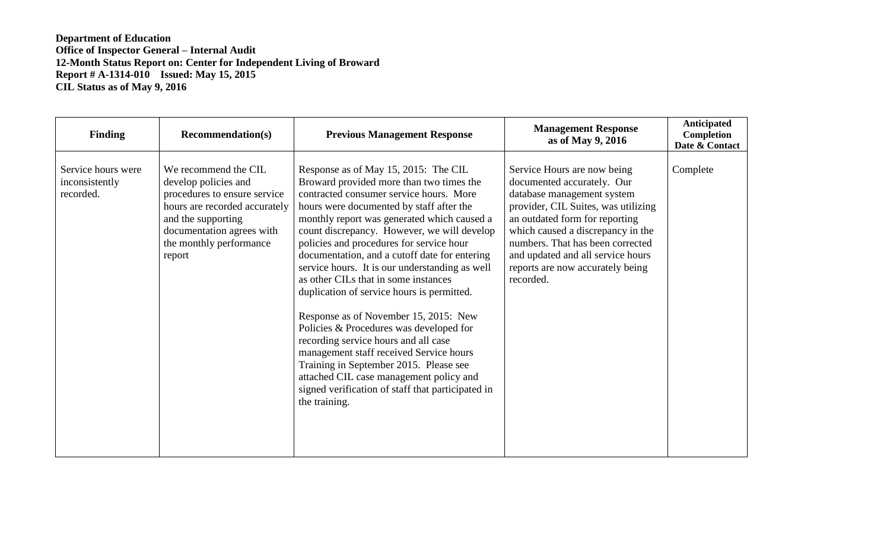| <b>Finding</b>                                    | <b>Recommendation(s)</b>                                                                                                                                                                              | <b>Previous Management Response</b>                                                                                                                                                                                                                                                                                                                                                                                                                                                                                                                                                                                                                                                                                                                                                                                                          | <b>Management Response</b><br>as of May 9, 2016                                                                                                                                                                                                                                                                                 | Anticipated<br>Completion<br>Date & Contact |
|---------------------------------------------------|-------------------------------------------------------------------------------------------------------------------------------------------------------------------------------------------------------|----------------------------------------------------------------------------------------------------------------------------------------------------------------------------------------------------------------------------------------------------------------------------------------------------------------------------------------------------------------------------------------------------------------------------------------------------------------------------------------------------------------------------------------------------------------------------------------------------------------------------------------------------------------------------------------------------------------------------------------------------------------------------------------------------------------------------------------------|---------------------------------------------------------------------------------------------------------------------------------------------------------------------------------------------------------------------------------------------------------------------------------------------------------------------------------|---------------------------------------------|
| Service hours were<br>inconsistently<br>recorded. | We recommend the CIL<br>develop policies and<br>procedures to ensure service<br>hours are recorded accurately<br>and the supporting<br>documentation agrees with<br>the monthly performance<br>report | Response as of May 15, 2015: The CIL<br>Broward provided more than two times the<br>contracted consumer service hours. More<br>hours were documented by staff after the<br>monthly report was generated which caused a<br>count discrepancy. However, we will develop<br>policies and procedures for service hour<br>documentation, and a cutoff date for entering<br>service hours. It is our understanding as well<br>as other CILs that in some instances<br>duplication of service hours is permitted.<br>Response as of November 15, 2015: New<br>Policies & Procedures was developed for<br>recording service hours and all case<br>management staff received Service hours<br>Training in September 2015. Please see<br>attached CIL case management policy and<br>signed verification of staff that participated in<br>the training. | Service Hours are now being<br>documented accurately. Our<br>database management system<br>provider, CIL Suites, was utilizing<br>an outdated form for reporting<br>which caused a discrepancy in the<br>numbers. That has been corrected<br>and updated and all service hours<br>reports are now accurately being<br>recorded. | Complete                                    |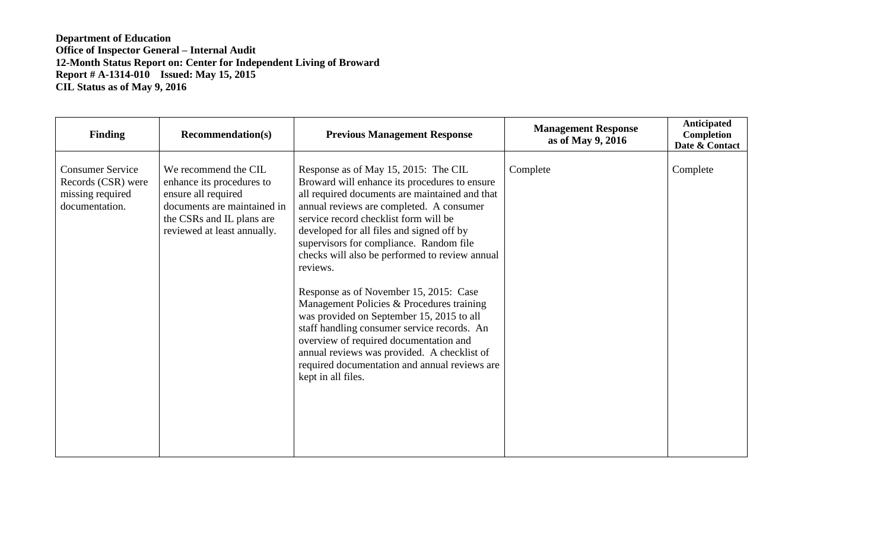| <b>Finding</b>                                                                      | <b>Recommendation(s)</b>                                                                                                                                            | <b>Previous Management Response</b>                                                                                                                                                                                                                                                                                                                                                                                                                                                                                                                                                                                                                                                                                                   | <b>Management Response</b><br>as of May 9, 2016 | Anticipated<br>Completion<br>Date & Contact |
|-------------------------------------------------------------------------------------|---------------------------------------------------------------------------------------------------------------------------------------------------------------------|---------------------------------------------------------------------------------------------------------------------------------------------------------------------------------------------------------------------------------------------------------------------------------------------------------------------------------------------------------------------------------------------------------------------------------------------------------------------------------------------------------------------------------------------------------------------------------------------------------------------------------------------------------------------------------------------------------------------------------------|-------------------------------------------------|---------------------------------------------|
| <b>Consumer Service</b><br>Records (CSR) were<br>missing required<br>documentation. | We recommend the CIL<br>enhance its procedures to<br>ensure all required<br>documents are maintained in<br>the CSRs and IL plans are<br>reviewed at least annually. | Response as of May 15, 2015: The CIL<br>Broward will enhance its procedures to ensure<br>all required documents are maintained and that<br>annual reviews are completed. A consumer<br>service record checklist form will be<br>developed for all files and signed off by<br>supervisors for compliance. Random file<br>checks will also be performed to review annual<br>reviews.<br>Response as of November 15, 2015: Case<br>Management Policies & Procedures training<br>was provided on September 15, 2015 to all<br>staff handling consumer service records. An<br>overview of required documentation and<br>annual reviews was provided. A checklist of<br>required documentation and annual reviews are<br>kept in all files. | Complete                                        | Complete                                    |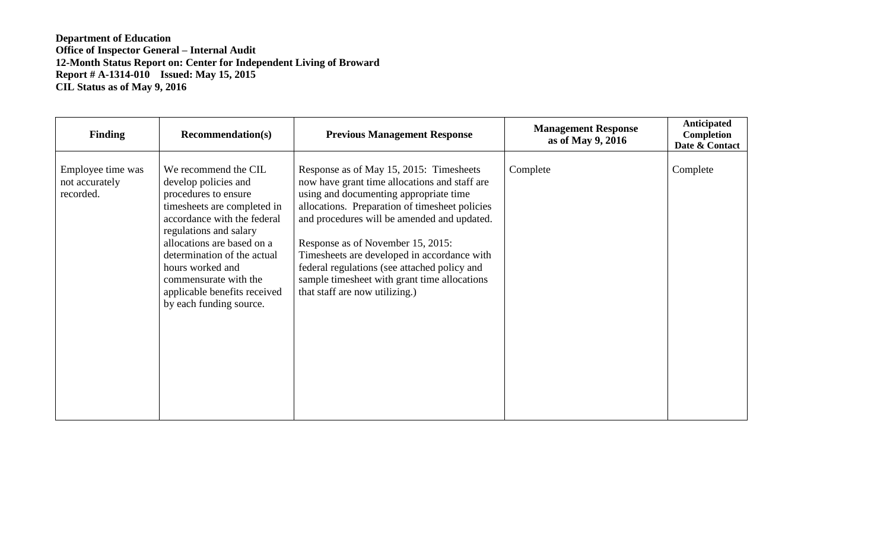| <b>Finding</b>                                   | <b>Recommendation(s)</b>                                                                                                                                                                                                                                                                                                          | <b>Previous Management Response</b>                                                                                                                                                                                                                                                                                                                                                                                                                       | <b>Management Response</b><br>as of May 9, 2016 | Anticipated<br>Completion<br>Date & Contact |
|--------------------------------------------------|-----------------------------------------------------------------------------------------------------------------------------------------------------------------------------------------------------------------------------------------------------------------------------------------------------------------------------------|-----------------------------------------------------------------------------------------------------------------------------------------------------------------------------------------------------------------------------------------------------------------------------------------------------------------------------------------------------------------------------------------------------------------------------------------------------------|-------------------------------------------------|---------------------------------------------|
| Employee time was<br>not accurately<br>recorded. | We recommend the CIL<br>develop policies and<br>procedures to ensure<br>timesheets are completed in<br>accordance with the federal<br>regulations and salary<br>allocations are based on a<br>determination of the actual<br>hours worked and<br>commensurate with the<br>applicable benefits received<br>by each funding source. | Response as of May 15, 2015: Timesheets<br>now have grant time allocations and staff are<br>using and documenting appropriate time<br>allocations. Preparation of timesheet policies<br>and procedures will be amended and updated.<br>Response as of November 15, 2015:<br>Timesheets are developed in accordance with<br>federal regulations (see attached policy and<br>sample timesheet with grant time allocations<br>that staff are now utilizing.) | Complete                                        | Complete                                    |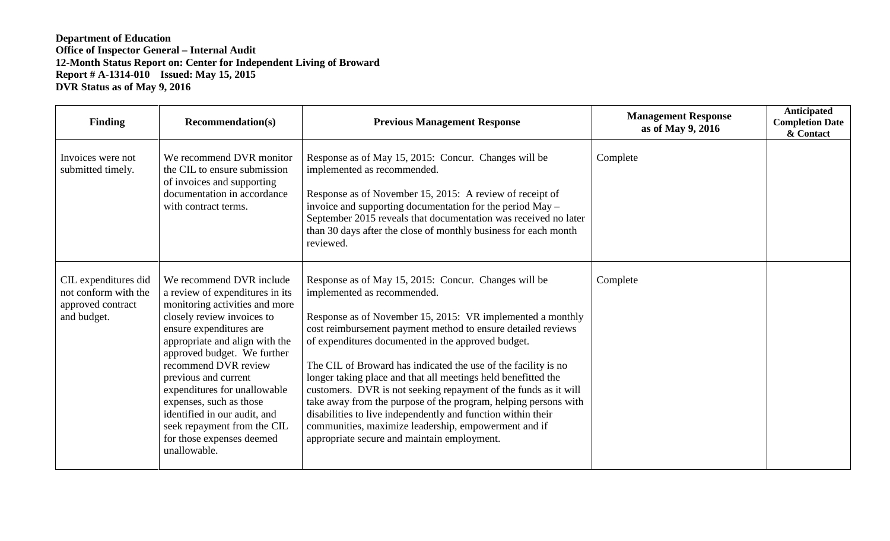| <b>Finding</b>                                                                   | <b>Recommendation(s)</b>                                                                                                                                                                                                                                                                                                                                                                                                                       | <b>Previous Management Response</b>                                                                                                                                                                                                                                                                                                                                                                                                                                                                                                                                                                                                                                                                                     | <b>Management Response</b><br>as of May 9, 2016 | Anticipated<br><b>Completion Date</b><br>& Contact |
|----------------------------------------------------------------------------------|------------------------------------------------------------------------------------------------------------------------------------------------------------------------------------------------------------------------------------------------------------------------------------------------------------------------------------------------------------------------------------------------------------------------------------------------|-------------------------------------------------------------------------------------------------------------------------------------------------------------------------------------------------------------------------------------------------------------------------------------------------------------------------------------------------------------------------------------------------------------------------------------------------------------------------------------------------------------------------------------------------------------------------------------------------------------------------------------------------------------------------------------------------------------------------|-------------------------------------------------|----------------------------------------------------|
| Invoices were not<br>submitted timely.                                           | We recommend DVR monitor<br>the CIL to ensure submission<br>of invoices and supporting<br>documentation in accordance<br>with contract terms.                                                                                                                                                                                                                                                                                                  | Response as of May 15, 2015: Concur. Changes will be<br>implemented as recommended.<br>Response as of November 15, 2015: A review of receipt of<br>invoice and supporting documentation for the period May -<br>September 2015 reveals that documentation was received no later<br>than 30 days after the close of monthly business for each month<br>reviewed.                                                                                                                                                                                                                                                                                                                                                         | Complete                                        |                                                    |
| CIL expenditures did<br>not conform with the<br>approved contract<br>and budget. | We recommend DVR include<br>a review of expenditures in its<br>monitoring activities and more<br>closely review invoices to<br>ensure expenditures are<br>appropriate and align with the<br>approved budget. We further<br>recommend DVR review<br>previous and current<br>expenditures for unallowable<br>expenses, such as those<br>identified in our audit, and<br>seek repayment from the CIL<br>for those expenses deemed<br>unallowable. | Response as of May 15, 2015: Concur. Changes will be<br>implemented as recommended.<br>Response as of November 15, 2015: VR implemented a monthly<br>cost reimbursement payment method to ensure detailed reviews<br>of expenditures documented in the approved budget.<br>The CIL of Broward has indicated the use of the facility is no<br>longer taking place and that all meetings held benefitted the<br>customers. DVR is not seeking repayment of the funds as it will<br>take away from the purpose of the program, helping persons with<br>disabilities to live independently and function within their<br>communities, maximize leadership, empowerment and if<br>appropriate secure and maintain employment. | Complete                                        |                                                    |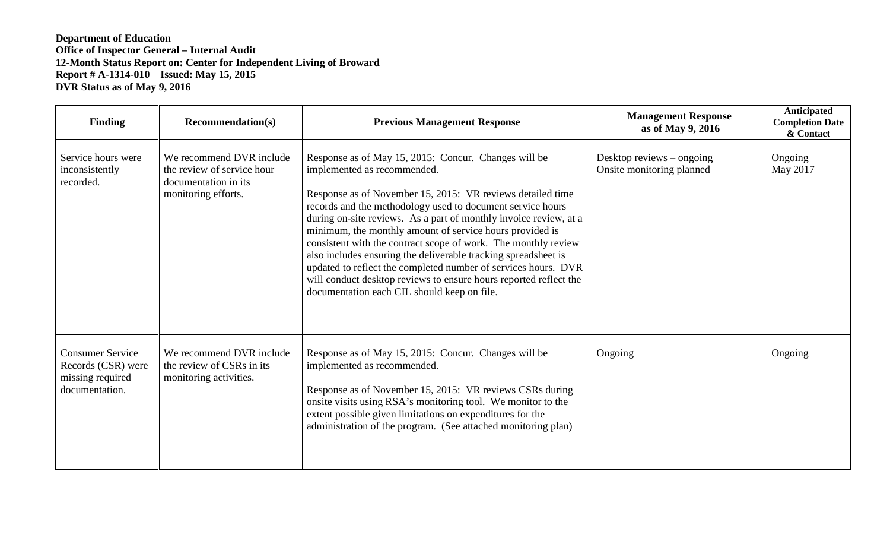| <b>Finding</b>                                                                      | <b>Recommendation(s)</b>                                                                              | <b>Previous Management Response</b>                                                                                                                                                                                                                                                                                                                                                                                                                                                                                                                                                                                                                                        | <b>Management Response</b><br>as of May 9, 2016        | Anticipated<br><b>Completion Date</b><br>& Contact |
|-------------------------------------------------------------------------------------|-------------------------------------------------------------------------------------------------------|----------------------------------------------------------------------------------------------------------------------------------------------------------------------------------------------------------------------------------------------------------------------------------------------------------------------------------------------------------------------------------------------------------------------------------------------------------------------------------------------------------------------------------------------------------------------------------------------------------------------------------------------------------------------------|--------------------------------------------------------|----------------------------------------------------|
| Service hours were<br>inconsistently<br>recorded.                                   | We recommend DVR include<br>the review of service hour<br>documentation in its<br>monitoring efforts. | Response as of May 15, 2015: Concur. Changes will be<br>implemented as recommended.<br>Response as of November 15, 2015: VR reviews detailed time<br>records and the methodology used to document service hours<br>during on-site reviews. As a part of monthly invoice review, at a<br>minimum, the monthly amount of service hours provided is<br>consistent with the contract scope of work. The monthly review<br>also includes ensuring the deliverable tracking spreadsheet is<br>updated to reflect the completed number of services hours. DVR<br>will conduct desktop reviews to ensure hours reported reflect the<br>documentation each CIL should keep on file. | Desktop reviews – ongoing<br>Onsite monitoring planned | Ongoing<br>May 2017                                |
| <b>Consumer Service</b><br>Records (CSR) were<br>missing required<br>documentation. | We recommend DVR include<br>the review of CSRs in its<br>monitoring activities.                       | Response as of May 15, 2015: Concur. Changes will be<br>implemented as recommended.<br>Response as of November 15, 2015: VR reviews CSRs during<br>onsite visits using RSA's monitoring tool. We monitor to the<br>extent possible given limitations on expenditures for the<br>administration of the program. (See attached monitoring plan)                                                                                                                                                                                                                                                                                                                              | Ongoing                                                | Ongoing                                            |